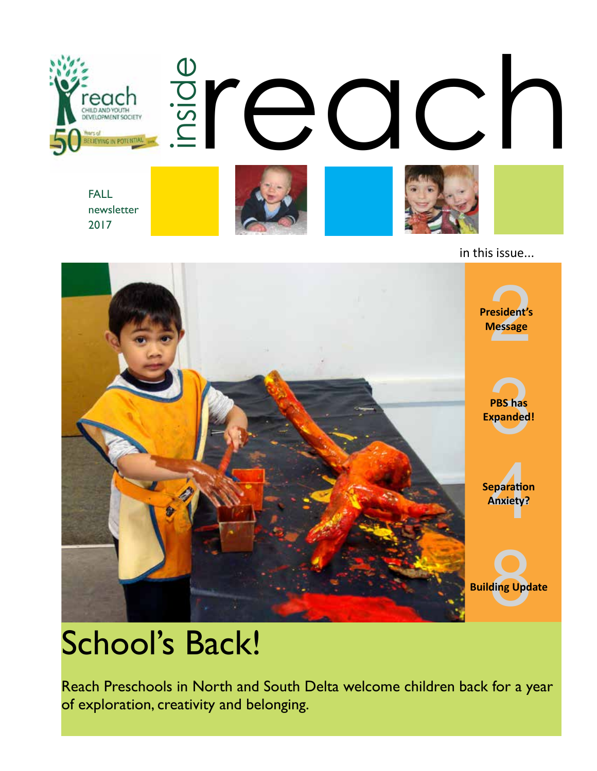

FALL newsletter 2017







in this issue...



# School's Back!

Reach Preschools in North and South Delta welcome children back for a year of exploration, creativity and belonging.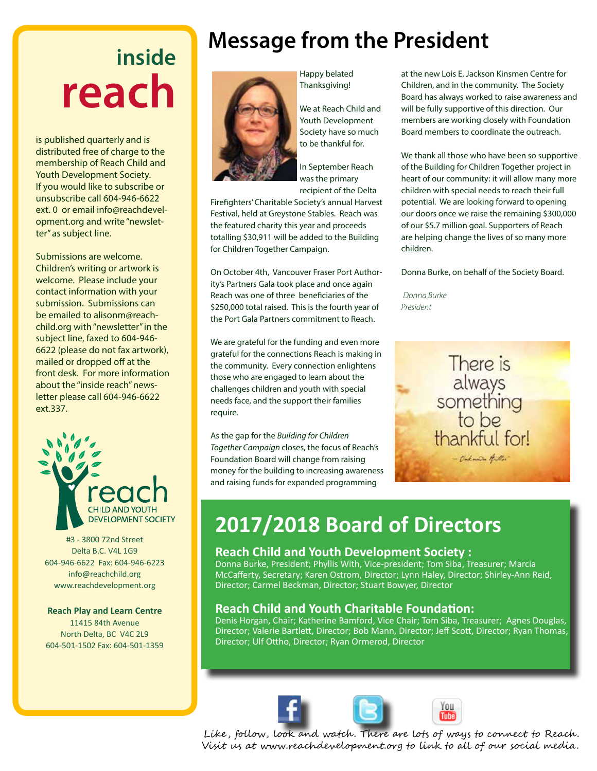# **inside reach**

is published quarterly and is distributed free of charge to the membership of Reach Child and Youth Development Society. If you would like to subscribe or unsubscribe call 604-946-6622 ext. 0 or email info@reachdevelopment.org and write "newsletter" as subject line.

Submissions are welcome. Children's writing or artwork is welcome. Please include your contact information with your submission. Submissions can be emailed to alisonm@reachchild.org with "newsletter" in the subject line, faxed to 604-946- 6622 (please do not fax artwork), mailed or dropped off at the front desk. For more information about the "inside reach" newsletter please call 604-946-6622 ext.337.



#3 - 3800 72nd Street Delta B.C. V4L 1G9 604-946-6622 Fax: 604-946-6223 info@reachchild.org www.reachdevelopment.org

#### **Reach Play and Learn Centre**

11415 84th Avenue North Delta, BC V4C 2L9 604-501-1502 Fax: 604-501-1359

# **Message from the President**



Happy belated Thanksgiving!

We at Reach Child and Youth Development Society have so much to be thankful for.

In September Reach was the primary recipient of the Delta

Firefighters' Charitable Society's annual Harvest Festival, held at Greystone Stables. Reach was the featured charity this year and proceeds totalling \$30,911 will be added to the Building for Children Together Campaign.

On October 4th, Vancouver Fraser Port Authority's Partners Gala took place and once again Reach was one of three beneficiaries of the \$250,000 total raised. This is the fourth year of the Port Gala Partners commitment to Reach.

We are grateful for the funding and even more grateful for the connections Reach is making in the community. Every connection enlightens those who are engaged to learn about the challenges children and youth with special needs face, and the support their families require.

As the gap for the *Building for Children Together Campaign* closes, the focus of Reach's Foundation Board will change from raising money for the building to increasing awareness and raising funds for expanded programming

at the new Lois E. Jackson Kinsmen Centre for Children, and in the community. The Society Board has always worked to raise awareness and will be fully supportive of this direction. Our members are working closely with Foundation Board members to coordinate the outreach.

We thank all those who have been so supportive of the Building for Children Together project in heart of our community: it will allow many more children with special needs to reach their full potential. We are looking forward to opening our doors once we raise the remaining \$300,000 of our \$5.7 million goal. Supporters of Reach are helping change the lives of so many more children.

Donna Burke, on behalf of the Society Board.

*Donna Burke President*



### **2017/2018 Board of Directors**

#### **Reach Child and Youth Development Society :**

Donna Burke, President; Phyllis With, Vice-president; Tom Siba, Treasurer; Marcia McCafferty, Secretary; Karen Ostrom, Director; Lynn Haley, Director; Shirley-Ann Reid, Director; Carmel Beckman, Director; Stuart Bowyer, Director

#### **Reach Child and Youth Charitable Foundation:**

Denis Horgan, Chair; Katherine Bamford, Vice Chair; Tom Siba, Treasurer; Agnes Douglas, Director; Valerie Bartlett, Director; Bob Mann, Director; Jeff Scott, Director; Ryan Thomas, Director; Ulf Ottho, Director; Ryan Ormerod, Director





Like, follow, look and watch. There are lots of ways to connect to Reach. Visit us at www.reachdevelopment.org to link to all of our social media.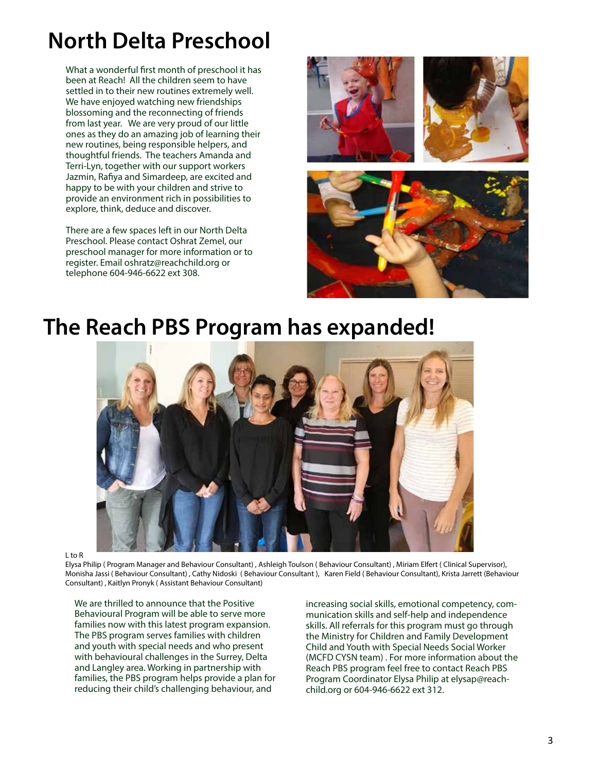# **North Delta Preschool**

What a wonderful first month of preschool it has been at Reach! All the children seem to have settled in to their new routines extremely well. We have enjoyed watching new friendships blossoming and the reconnecting of friends from last year. We are very proud of our little ones as they do an amazing job of learning their new routines, being responsible helpers, and thoughtful friends. The teachers Amanda and Terri-Lyn, together with our support workers Jazmin, Rafiya and Simardeep, are excited and happy to be with your children and strive to provide an environment rich in possibilities to explore, think, deduce and discover.

There are a few spaces left in our North Delta Preschool. Please contact Oshrat Zemel, our preschool manager for more information or to register. Email oshratz@reachchild.org or telephone 604-946-6622 ext 308.







### **The Reach PBS Program has expanded!**



L to R

Elysa Philip ( Program Manager and Behaviour Consultant) , Ashleigh Toulson ( Behaviour Consultant) , Miriam Elfert ( Clinical Supervisor), Monisha Jassi ( Behaviour Consultant) , Cathy Nidoski ( Behaviour Consultant ), Karen Field ( Behaviour Consultant), Krista Jarrett (Behaviour Consultant) , Kaitlyn Pronyk ( Assistant Behaviour Consultant)

We are thrilled to announce that the Positive Behavioural Program will be able to serve more families now with this latest program expansion. The PBS program serves families with children and youth with special needs and who present with behavioural challenges in the Surrey, Delta and Langley area. Working in partnership with families, the PBS program helps provide a plan for reducing their child's challenging behaviour, and

increasing social skills, emotional competency, communication skills and self-help and independence skills. All referrals for this program must go through the Ministry for Children and Family Development Child and Youth with Special Needs Social Worker (MCFD CYSN team) . For more information about the Reach PBS program feel free to contact Reach PBS Program Coordinator Elysa Philip at elysap@reachchild.org or 604-946-6622 ext 312.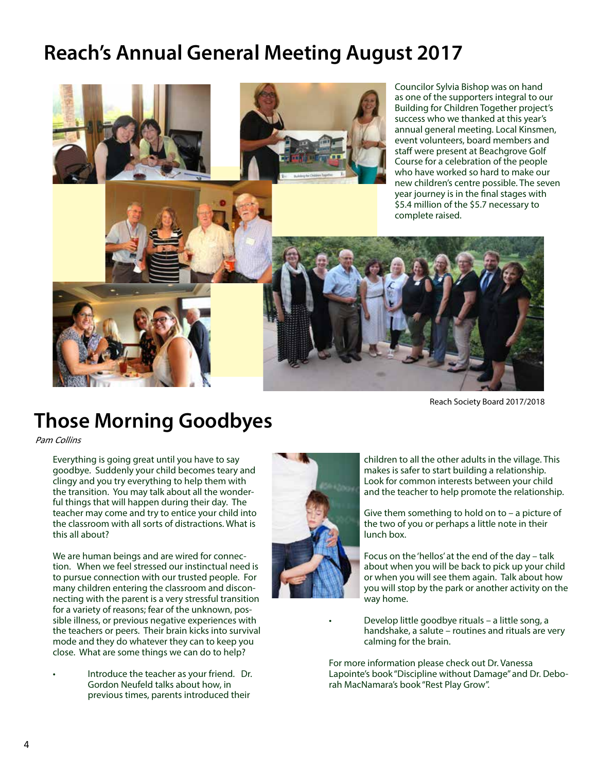## **Reach's Annual General Meeting August 2017**



Reach Society Board 2017/2018

#### **Those Morning Goodbyes**

Pam Collins

Everything is going great until you have to say goodbye. Suddenly your child becomes teary and clingy and you try everything to help them with the transition. You may talk about all the wonderful things that will happen during their day. The teacher may come and try to entice your child into the classroom with all sorts of distractions. What is this all about?

We are human beings and are wired for connection. When we feel stressed our instinctual need is to pursue connection with our trusted people. For many children entering the classroom and disconnecting with the parent is a very stressful transition for a variety of reasons; fear of the unknown, possible illness, or previous negative experiences with the teachers or peers. Their brain kicks into survival mode and they do whatever they can to keep you close. What are some things we can do to help?

• Introduce the teacher as your friend. Dr. Gordon Neufeld talks about how, in previous times, parents introduced their



children to all the other adults in the village. This makes is safer to start building a relationship. Look for common interests between your child and the teacher to help promote the relationship.

Give them something to hold on to  $-$  a picture of the two of you or perhaps a little note in their lunch box.

• Focus on the 'hellos' at the end of the day – talk about when you will be back to pick up your child or when you will see them again. Talk about how you will stop by the park or another activity on the way home.

• Develop little goodbye rituals – a little song, a handshake, a salute – routines and rituals are very calming for the brain.

For more information please check out Dr. Vanessa Lapointe's book "Discipline without Damage" and Dr. Deborah MacNamara's book "Rest Play Grow".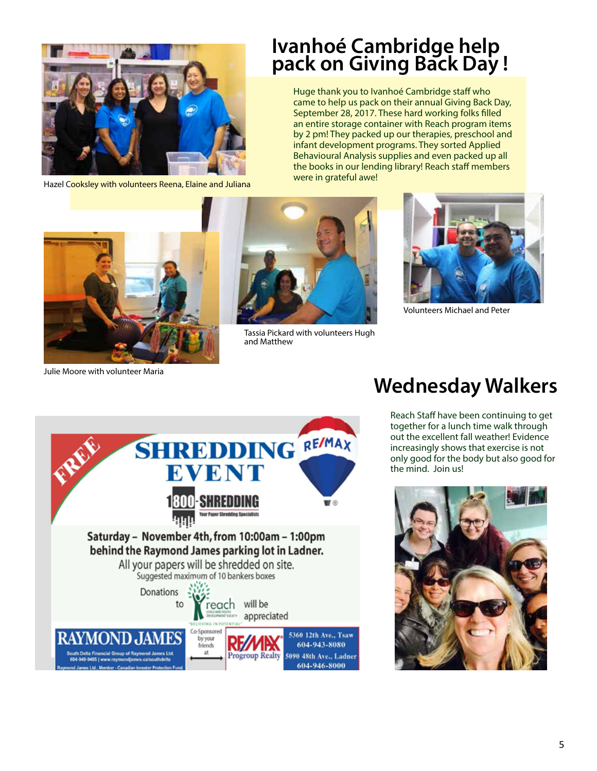

Hazel Cooksley with volunteers Reena, Elaine and Juliana

#### **Ivanhoé Cambridge help pack on Giving Back Day !**

Huge thank you to Ivanhoé Cambridge staff who came to help us pack on their annual Giving Back Day, September 28, 2017. These hard working folks filled an entire storage container with Reach program items by 2 pm! They packed up our therapies, preschool and infant development programs. They sorted Applied Behavioural Analysis supplies and even packed up all the books in our lending library! Reach staff members were in grateful awe!



Julie Moore with volunteer Maria



Tassia Pickard with volunteers Hugh and Matthew



Volunteers Michael and Peter



#### **Wednesday Walkers**

Reach Staff have been continuing to get together for a lunch time walk through out the excellent fall weather! Evidence increasingly shows that exercise is not only good for the body but also good for the mind. Join us!

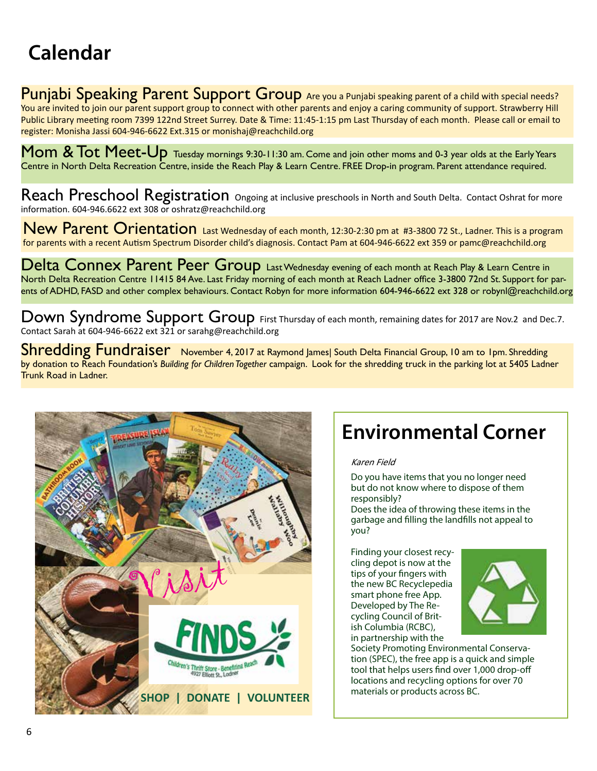# **Calendar**

Punjabi Speaking Parent Support Group Are you a Punjabi speaking parent of a child with special needs? You are invited to join our parent support group to connect with other parents and enjoy a caring community of support. Strawberry Hill Public Library meeting room 7399 122nd Street Surrey. Date & Time: 11:45-1:15 pm Last Thursday of each month. Please call or email to register: Monisha Jassi 604-946-6622 Ext.315 or monishaj@reachchild.org

Mom & Tot Meet-Up Tuesday mornings 9:30-11:30 am. Come and join other moms and 0-3 year olds at the Early Years Centre in North Delta Recreation Centre, inside the Reach Play & Learn Centre. FREE Drop-in program. Parent attendance required.

Reach Preschool Registration Ongoing at inclusive preschools in North and South Delta. Contact Oshrat for more information. 604-946.6622 ext 308 or oshratz@reachchild.org

New Parent Orientation Last Wednesday of each month, 12:30-2:30 pm at #3-3800 72 St., Ladner. This is a program for parents with a recent Autism Spectrum Disorder child's diagnosis. Contact Pam at 604-946-6622 ext 359 or pamc@reachchild.org

Delta Connex Parent Peer Group Last Wednesday evening of each month at Reach Play & Learn Centre in North Delta Recreation Centre 11415 84 Ave. Last Friday morning of each month at Reach Ladner office 3-3800 72nd St. Support for parents of ADHD, FASD and other complex behaviours. Contact Robyn for more information 604-946-6622 ext 328 or robynl@reachchild.org

Down Syndrome Support Group First Thursday of each month, remaining dates for 2017 are Nov.2 and Dec.7. Contact Sarah at 604-946-6622 ext 321 or sarahg@reachchild.org

Shredding Fundraiser November 4, 2017 at Raymond James| South Delta Financial Group, 10 am to 1pm. Shredding by donation to Reach Foundation's *Building for Children Together* campaign. Look for the shredding truck in the parking lot at 5405 Ladner Trunk Road in Ladner.



# **Environmental Corner**

#### Karen Field

Do you have items that you no longer need but do not know where to dispose of them responsibly?

Does the idea of throwing these items in the garbage and filling the landfills not appeal to you?

Finding your closest recycling depot is now at the tips of your fingers with the new BC Recyclepedia smart phone free App. Developed by The Recycling Council of British Columbia (RCBC), in partnership with the



Society Promoting Environmental Conservation (SPEC), the free app is a quick and simple tool that helps users find over 1,000 drop-off locations and recycling options for over 70 materials or products across BC.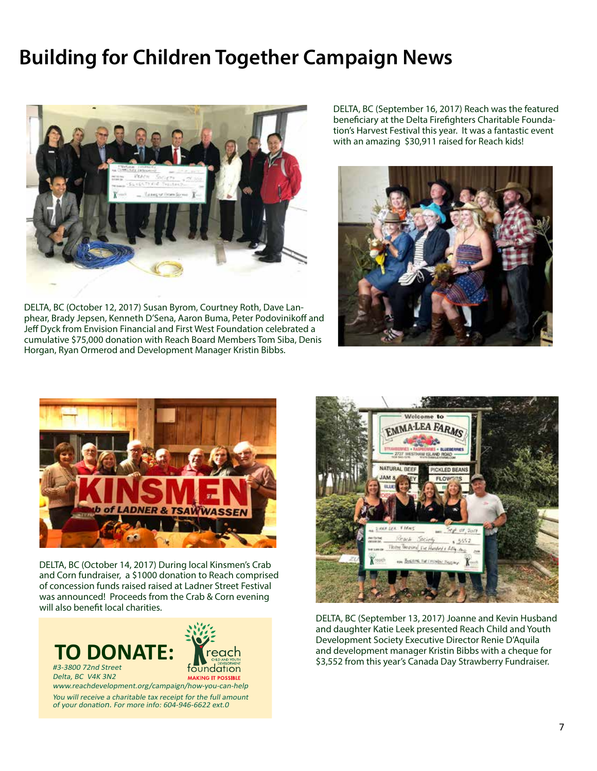### **Building for Children Together Campaign News**



DELTA, BC (October 12, 2017) Susan Byrom, Courtney Roth, Dave Lanphear, Brady Jepsen, Kenneth D'Sena, Aaron Buma, Peter Podovinikoff and Jeff Dyck from Envision Financial and First West Foundation celebrated a cumulative \$75,000 donation with Reach Board Members Tom Siba, Denis Horgan, Ryan Ormerod and Development Manager Kristin Bibbs.

DELTA, BC (September 16, 2017) Reach was the featured beneficiary at the Delta Firefighters Charitable Foundation's Harvest Festival this year. It was a fantastic event with an amazing \$30,911 raised for Reach kids!





DELTA, BC (October 14, 2017) During local Kinsmen's Crab and Corn fundraiser, a \$1000 donation to Reach comprised of concession funds raised raised at Ladner Street Festival was announced! Proceeds from the Crab & Corn evening will also benefit local charities.





DELTA, BC (September 13, 2017) Joanne and Kevin Husband and daughter Katie Leek presented Reach Child and Youth Development Society Executive Director Renie D'Aquila and development manager Kristin Bibbs with a cheque for \$3,552 from this year's Canada Day Strawberry Fundraiser.